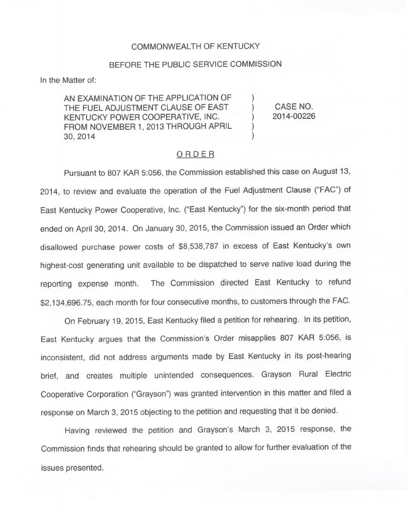## COMMONWEALTH OF KENTUCKY

## BEFORE THE PUBLIC SERVICE COMMISSION

In the Matter of:

AN EXAMINATION OF THE APPLICATION OF THE FUEL ADJUSTMENT CLAUSE OF EAST KENTUCKY POWER COOPERATIVE, INC. FROM NOVEMBER 1, 2013 THROUGH APRIL 30, 2014

) CASE NO. 2014-00226

)

)

) )

## ORDER

Pursuant to 807 KAR 5:056, the Commission established this case on August 13, 2014, to review and evaluate the operation of the Fuel Adjustment Clause ("FAC") of East Kentucky Power Cooperative, Inc. ("East Kentucky") for the six-month period tha ended on April 30, 2014. On January 30, 2015, the Commission issued an Order which disallowed purchase power costs of \$8,538,787 in excess of East Kentucky's own highest-cost generating unit available to be dispatched to serve native load during the reporting expense month. The Commission directed East Kentucky to refund \$2,134,696.75, each month for four consecutive months, to customers through the FAC.

On February 19, 2015, East Kentucky filed a petition for rehearing. In its petition, East Kentucky argues that the Commission's Order misapplies 807 KAR 5:056, is inconsistent, did not address arguments made by East Kentucky in its post-hearing brief, and creates multiple unintended consequences. Grayson Rural Electric Cooperative Corporation ("Grayson") was granted intervention in this matter and filed a response on March 3, 2015 objecting to the petition and requesting that it be denied.

Having reviewed the petition and Grayson's March 3, 2015 response, the Commission finds that rehearing should be granted to allow for further evaluation of the issues presented.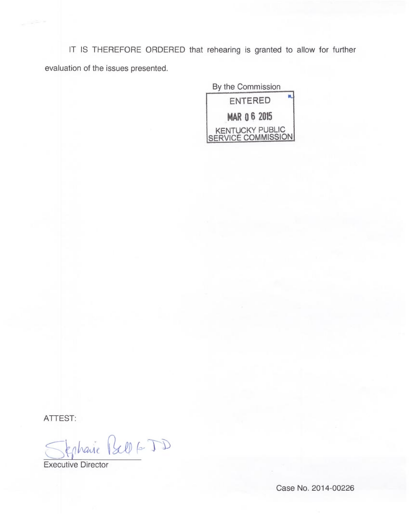IT IS THEREFORE ORDERED that rehearing is granted to allow for further evaluation of the issues presented.

> By the Commission ENTERED **MAR 06 2015** KENTUCKY PUBLIC SERVICE COMMISSION

ATTEST:

Jephanie Bell 6-JD

Executive Director

Case No. 2014-00226